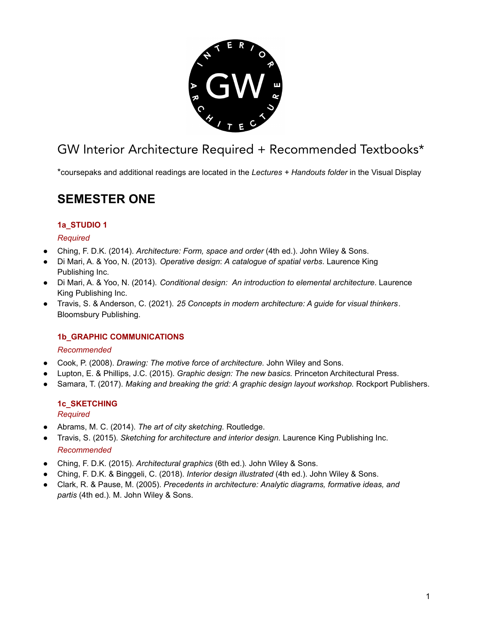

# GW Interior Architecture Required + Recommended Textbooks\*

\*coursepaks and additional readings are located in the *Lectures + Handouts folder* in the Visual Display

# **SEMESTER ONE**

## **1a\_STUDIO 1**

## *Required*

- Ching, F. D.K. (2014). *Architecture: Form, space and order* (4th ed.). John Wiley & Sons.
- Di Mari, A. & Yoo, N. (2013). *Operative design*: *A catalogue of spatial verbs*. Laurence King Publishing Inc.
- Di Mari, A. & Yoo, N. (2014). *Conditional design: An introduction to elemental architecture*. Laurence King Publishing Inc.
- Travis, S. & Anderson, C. (2021). *25 Concepts in modern architecture: A guide for visual thinkers*. Bloomsbury Publishing.

## **1b\_GRAPHIC COMMUNICATIONS**

#### *Recommended*

- Cook, P. (2008). *Drawing: The motive force of architecture.* John Wiley and Sons.
- Lupton, E. & Phillips, J.C. (2015). *Graphic design: The new basics.* Princeton Architectural Press.
- Samara, T. (2017). *Making and breaking the grid: A graphic design layout workshop.* Rockport Publishers.

#### **1c\_SKETCHING** *Required*

- Abrams, M. C. (2014). *The art of city sketching.* Routledge.
- Travis, S. (2015). *Sketching for architecture and interior design.* Laurence King Publishing Inc. *Recommended*
- *●* Ching, F. D.K. (2015). *Architectural graphics* (6th ed.)*.* John Wiley & Sons.
- Ching, F. D.K. & Binggeli, C. (2018). *Interior design illustrated* (4th ed.). John Wiley & Sons.
- Clark, R. & Pause, M. (2005). *Precedents in architecture: Analytic diagrams, formative ideas, and partis* (4th ed.)*.* M. John Wiley & Sons.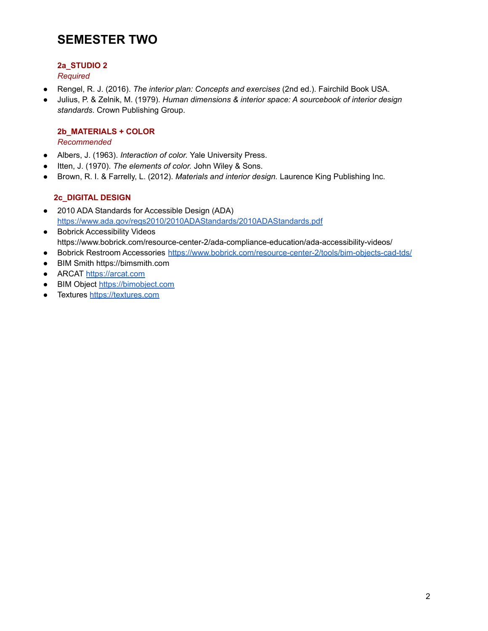# **SEMESTER TWO**

# **2a\_STUDIO 2**

*Required*

- Rengel, R. J. (2016). *The interior plan: Concepts and exercises* (2nd ed.). Fairchild Book USA.
- Julius, P. & Zelnik, M. (1979). *Human dimensions & interior space: A sourcebook of interior design standards*. Crown Publishing Group.

## **2b\_MATERIALS + COLOR**

*Recommended*

- Albers, J. (1963). *Interaction of color.* Yale University Press.
- Itten, J. (1970). *The elements of color.* John Wiley & Sons.
- Brown, R. I. & Farrelly, L. (2012). *Materials and interior design.* Laurence King Publishing Inc.

# **2c\_DIGITAL DESIGN**

- 2010 ADA Standards for Accessible Design (ADA) <https://www.ada.gov/regs2010/2010ADAStandards/2010ADAStandards.pdf>
- Bobrick Accessibility Videos https://www.bobrick.com/resource-center-2/ada-compliance-education/ada-accessibility-videos/
- Bobrick Restroom Accessories <https://www.bobrick.com/resource-center-2/tools/bim-objects-cad-tds/>
- BIM Smith https://bimsmith.com
- ARCAT <https://arcat.com>
- BIM Object [https://bimobject.com](https://arcat.com)
- Textures [https://textures.com](https://arcat.com)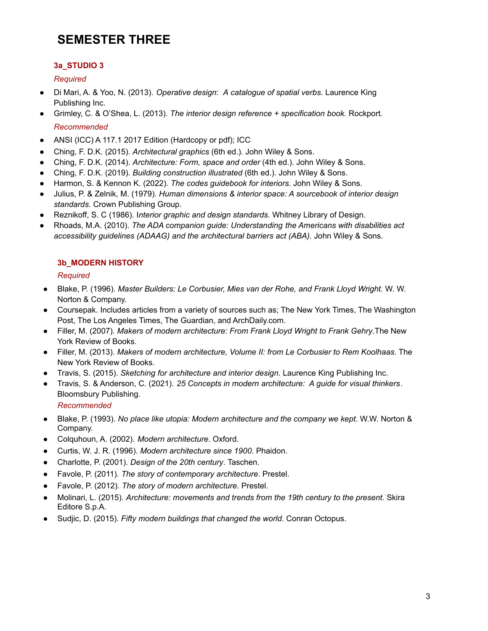# **SEMESTER THREE**

# **3a\_STUDIO 3**

## *Required*

- Di Mari, A. & Yoo, N. (2013). *Operative design*: *A catalogue of spatial verbs*. Laurence King Publishing Inc.
- Grimley, C. & O'Shea, L. (2013). *The interior design reference + specification book.* Rockport. *Recommended*
- *●* ANSI (ICC) A 117.1 2017 Edition (Hardcopy or pdf); ICC
- *●* Ching, F. D.K. (2015). *Architectural graphics* (6th ed.)*.* John Wiley & Sons.
- Ching, F. D.K. (2014). *Architecture: Form, space and order* (4th ed.). John Wiley & Sons.
- Ching, F. D.K. (2019). *Building construction illustrated* (6th ed.). John Wiley & Sons.
- Harmon, S. & Kennon K. (2022). *The codes guidebook for interiors.* John Wiley & Sons.
- Julius, P. & Zelnik, M. (1979). *Human dimensions & interior space: A sourcebook of interior design standards*. Crown Publishing Group.
- Reznikoff, S. C (1986). I*nterior graphic and design standards.* Whitney Library of Design.
- Rhoads, M.A. (2010). *The ADA companion guide: Understanding the Americans with disabilities act accessibility guidelines (ADAAG) and the architectural barriers act (ABA).* John Wiley & Sons.

## **3b\_MODERN HISTORY**

#### *Required*

- Blake, P. (1996). *Master Builders: Le Corbusier, Mies van der Rohe, and Frank Lloyd Wright.* W. W. Norton & Company.
- Coursepak. Includes articles from a variety of sources such as; The New York Times, The Washington Post, The Los Angeles Times, The Guardian, and ArchDaily.com.
- Filler, M. (2007). *Makers of modern architecture: From Frank Lloyd Wright to Frank Gehry*.The New York Review of Books.
- Filler, M. (2013). *Makers of modern architecture, Volume II: from Le Corbusier to Rem Koolhaas*. The New York Review of Books.
- Travis, S. (2015). *Sketching for architecture and interior design.* Laurence King Publishing Inc.
- Travis, S. & Anderson, C. (2021). *25 Concepts in modern architecture: A guide for visual thinkers*. Bloomsbury Publishing.

#### *Recommended*

- *●* Blake, P. (1993). *No place like utopia: Modern architecture and the company we kept*. W.W. Norton & Company.
- *●* Colquhoun, A. (2002). *Modern architecture*. Oxford.
- Curtis, W. J. R. (1996). *Modern architecture since 1900*. Phaidon.
- Charlotte, P. (2001). *Design of the 20th century*. Taschen.
- Favole, P. (2011). *The story of contemporary architecture*. Prestel.
- Favole, P. (2012). *The story of modern architecture*. Prestel.
- Molinari, L. (2015). *Architecture: movements and trends from the 19th century to the present*. Skira Editore S.p.A.
- Sudjic, D. (2015). *Fifty modern buildings that changed the world*. Conran Octopus.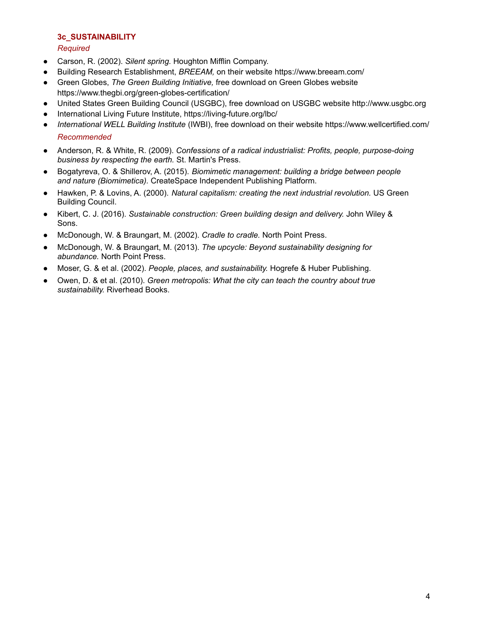#### **3c\_SUSTAINABILITY**

#### *Required*

- *●* Carson, R. (2002). *Silent spring.* Houghton Mifflin Company.
- Building Research Establishment, *BREEAM*, on their website [https://www.breeam.com/](http://www.breeam.com/)
- Green Globes, *The Green Building Initiative,* free download on Green Globes website [https://www.thegbi.org/green-globes-certification/](http://www.thegbi.org/green-globes-certification/)
- United States Green Building Council (USGBC), free download on USGBC website [http://www.usgbc.org](http://www.usgbc.org/)
- International Living Future Institute, <https://living-future.org/lbc/>
- *International WELL Building Institute* (IWBI), free download on their website [https://www.wellcertified.com/](http://www.wellcertified.com/) *Recommended*
- *●* Anderson, R. & White, R. (2009). *Confessions of a radical industrialist: Profits, people, purpose-doing business by respecting the earth.* St. Martin's Press.
- *●* Bogatyreva, O. & Shillerov, A. (2015). *Biomimetic management: building a bridge between people and nature (Biomimetica).* CreateSpace Independent Publishing Platform.
- *●* Hawken, P. & Lovins, A. (2000). *Natural capitalism: creating the next industrial revolution.* US Green Building Council.
- *●* Kibert, C. J. (2016). *Sustainable construction: Green building design and delivery.* John Wiley & Sons.
- *●* McDonough, W. & Braungart, M. (2002). *Cradle to cradle.* North Point Press.
- *●* McDonough, W. & Braungart, M. (2013). *The upcycle: Beyond sustainability designing for abundance.* North Point Press.
- *●* Moser, G. & et al. (2002). *People, places, and sustainability.* Hogrefe & Huber Publishing.
- *●* Owen, D. & et al. (2010). *Green metropolis: What the city can teach the country about true sustainability.* Riverhead Books.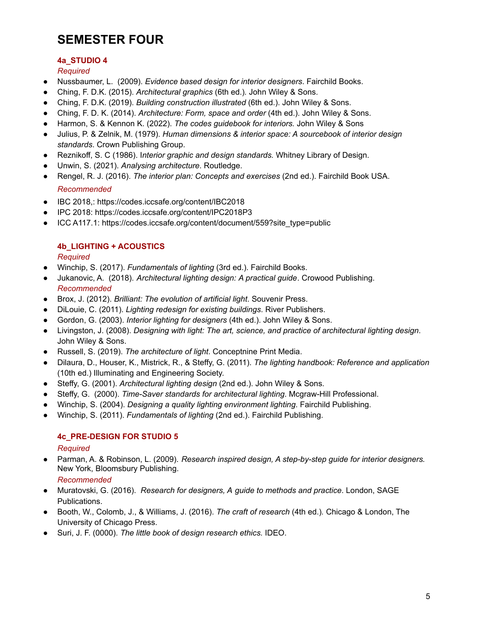# **SEMESTER FOUR**

## **4a\_STUDIO 4**

*Required*

- Nussbaumer, L. (2009). *Evidence based design for interior designers*. Fairchild Books.
- Ching, F. D.K. (2015). *Architectural graphics* (6th ed.)*.* John Wiley & Sons.
- Ching, F. D.K. (2019). *Building construction illustrated* (6th ed.). John Wiley & Sons.
- Ching, F. D. K. (2014). *Architecture: Form, space and order* (4th ed.). John Wiley & Sons.
- Harmon, S. & Kennon K. (2022). *The codes guidebook for interiors.* John Wiley & Sons
- Julius, P. & Zelnik, M. (1979). *Human dimensions & interior space: A sourcebook of interior design standards*. Crown Publishing Group.
- Reznikoff, S. C (1986). I*nterior graphic and design standards.* Whitney Library of Design.
- Unwin, S. (2021). *Analysing architecture*. Routledge.
- Rengel, R. J. (2016). *The interior plan: Concepts and exercises* (2nd ed.). Fairchild Book USA. *Recommended*
- IBC 2018,: https://codes.iccsafe.org/content/IBC2018
- IPC 2018: https://codes.iccsafe.org/content/IPC2018P3
- ICC A117.1: https://codes.iccsafe.org/content/document/559?site\_type=public

#### **4b\_LIGHTING + ACOUSTICS**

*Required*

- Winchip, S. (2017). *Fundamentals of lighting* (3rd ed.). Fairchild Books.
- Jukanovic, A. (2018). *Architectural lighting design: A practical guide*. Crowood Publishing. *Recommended*
- Brox, J. (2012). *Brilliant: The evolution of artificial light*. Souvenir Press.
- DiLouie, C. (2011). *Lighting redesign for existing buildings*. River Publishers.
- Gordon, G. (2003). *Interior lighting for designers* (4th ed.). John Wiley & Sons.
- Livingston, J. (2008). *Designing with light: The art, science, and practice of architectural lighting design*. John Wiley & Sons.
- Russell, S. (2019). *The architecture of light*. Conceptnine Print Media.
- Dilaura, D., Houser, K., Mistrick, R., & Steffy, G. (2011). *The lighting handbook: Reference and application* (10th ed.) Illuminating and Engineering Society.
- Steffy, G. (2001). *Architectural lighting design* (2nd ed.). John Wiley & Sons.
- Steffy, G. (2000). *Time-Saver standards for architectural lighting*. Mcgraw-Hill Professional.
- Winchip, S. (2004). *Designing a quality lighting environment lighting*. Fairchild Publishing.
- Winchip, S. (2011). *Fundamentals of lighting* (2nd ed.). Fairchild Publishing.

## **4c\_PRE-DESIGN FOR STUDIO 5**

#### *Required*

● Parman, A. & Robinson, L. (2009). *Research inspired design, A step-by-step guide for interior designers.* New York, Bloomsbury Publishing.

*Recommended*

- Muratovski, G. (2016). *Research for designers, A guide to methods and practice*. London, SAGE Publications.
- Booth, W., Colomb, J., & Williams, J. (2016). *The craft of research* (4th ed.)*.* Chicago & London, The University of Chicago Press.
- Suri, J. F. (0000). *The little book of design research ethics.* IDEO.